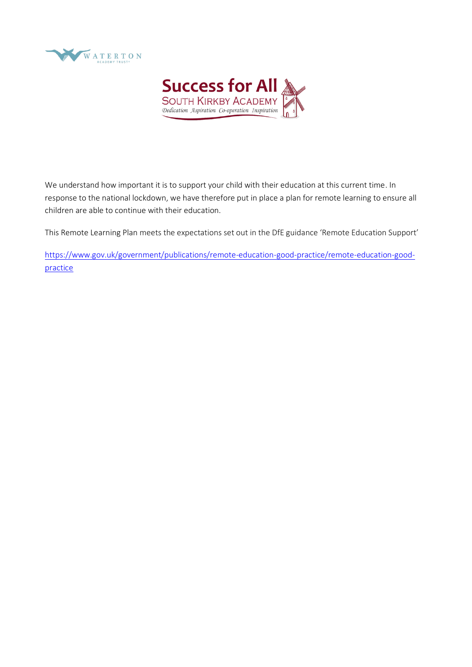



We understand how important it is to support your child with their education at this current time. In response to the national lockdown, we have therefore put in place a plan for remote learning to ensure all children are able to continue with their education.

This Remote Learning Plan meets the expectations set out in the DfE guidance 'Remote Education Support'

[https://www.gov.uk/government/publications/remote-education-good-practice/remote-education-good](https://www.gov.uk/government/publications/remote-education-good-practice/remote-education-good-practice)[practice](https://www.gov.uk/government/publications/remote-education-good-practice/remote-education-good-practice)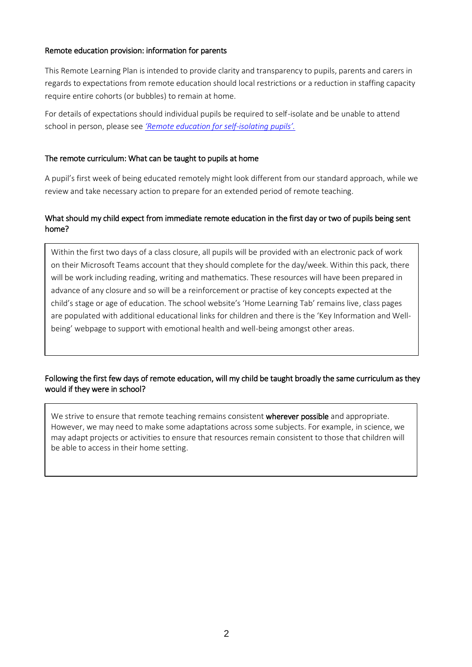## Remote education provision: information for parents

This Remote Learning Plan is intended to provide clarity and transparency to pupils, parents and carers in regards to expectations from remote education should local restrictions or a reduction in staffing capacity require entire cohorts (or bubbles) to remain at home.

For details of expectations should individual pupils be required to self-isolate and be unable to attend school in person, please see *'Remote education for self-isolating pupils'.*

## The remote curriculum: What can be taught to pupils at home

A pupil's first week of being educated remotely might look different from our standard approach, while we review and take necessary action to prepare for an extended period of remote teaching.

# What should my child expect from immediate remote education in the first day or two of pupils being sent home?

Within the first two days of a class closure, all pupils will be provided with an electronic pack of work on their Microsoft Teams account that they should complete for the day/week. Within this pack, there will be work including reading, writing and mathematics. These resources will have been prepared in advance of any closure and so will be a reinforcement or practise of key concepts expected at the child's stage or age of education. The school website's 'Home Learning Tab' remains live, class pages are populated with additional educational links for children and there is the 'Key Information and Wellbeing' webpage to support with emotional health and well-being amongst other areas.

# Following the first few days of remote education, will my child be taught broadly the same curriculum as they would if they were in school?

We strive to ensure that remote teaching remains consistent wherever possible and appropriate. However, we may need to make some adaptations across some subjects. For example, in science, we may adapt projects or activities to ensure that resources remain consistent to those that children will be able to access in their home setting.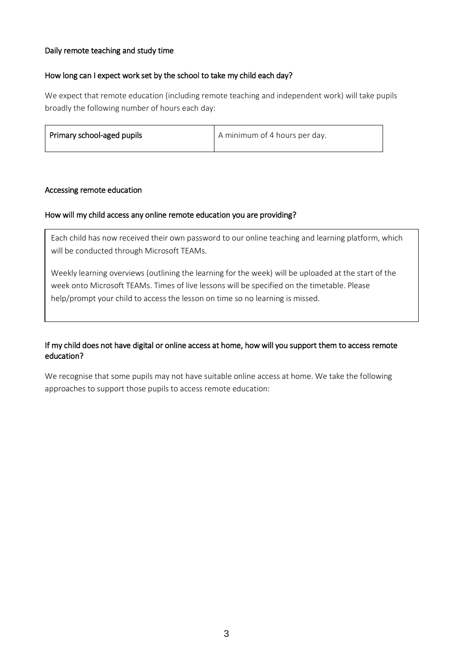## Daily remote teaching and study time

#### How long can I expect work set by the school to take my child each day?

We expect that remote education (including remote teaching and independent work) will take pupils broadly the following number of hours each day:

| Primary school-aged pupils | A minimum of 4 hours per day. |
|----------------------------|-------------------------------|
|                            |                               |

#### Accessing remote education

#### How will my child access any online remote education you are providing?

Each child has now received their own password to our online teaching and learning platform, which will be conducted through Microsoft TEAMs.

Weekly learning overviews (outlining the learning for the week) will be uploaded at the start of the week onto Microsoft TEAMs. Times of live lessons will be specified on the timetable. Please help/prompt your child to access the lesson on time so no learning is missed.

## If my child does not have digital or online access at home, how will you support them to access remote education?

We recognise that some pupils may not have suitable online access at home. We take the following approaches to support those pupils to access remote education: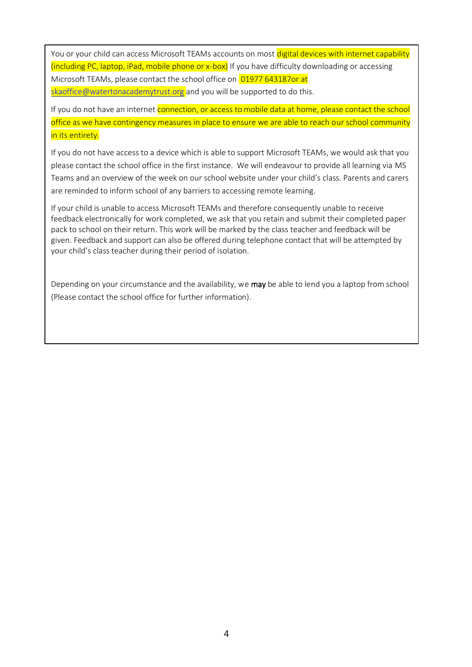You or your child can access Microsoft TEAMs accounts on most digital devices with internet capability (including PC, laptop, iPad, mobile phone or x-box) If you have difficulty downloading or accessing Microsoft TEAMs, please contact the school office on 01977 643187or at [skaoffice@watertonacademytrust.org](mailto:skaoffice@watertonacademytrust.org) and you will be supported to do this.

If you do not have an internet connection, or access to mobile data at home, please contact the school office as we have contingency measures in place to ensure we are able to reach our school community in its entirety.

If you do not have access to a device which is able to support Microsoft TEAMs, we would ask that you please contact the school office in the first instance. We will endeavour to provide all learning via MS Teams and an overview of the week on our school website under your child's class. Parents and carers are reminded to inform school of any barriers to accessing remote learning.

If your child is unable to access Microsoft TEAMs and therefore consequently unable to receive feedback electronically for work completed, we ask that you retain and submit their completed paper pack to school on their return. This work will be marked by the class teacher and feedback will be given. Feedback and support can also be offered during telephone contact that will be attempted by your child's class teacher during their period of isolation.

Depending on your circumstance and the availability, we may be able to lend you a laptop from school (Please contact the school office for further information).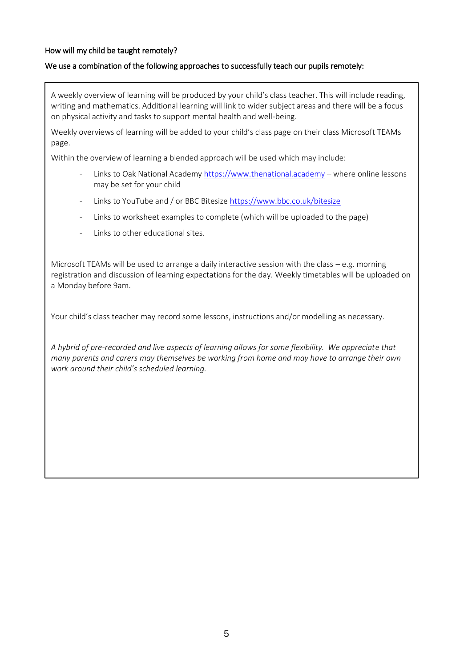# How will my child be taught remotely?

## We use a combination of the following approaches to successfully teach our pupils remotely:

A weekly overview of learning will be produced by your child's class teacher. This will include reading, writing and mathematics. Additional learning will link to wider subject areas and there will be a focus on physical activity and tasks to support mental health and well-being.

Weekly overviews of learning will be added to your child's class page on their class Microsoft TEAMs page.

Within the overview of learning a blended approach will be used which may include:

- Links to Oak National Academy [https://www.thenational.academy](https://www.thenational.academy/) where online lessons may be set for your child
- Links to YouTube and / or BBC Bitesize<https://www.bbc.co.uk/bitesize>
- Links to worksheet examples to complete (which will be uploaded to the page)
- Links to other educational sites.

Microsoft TEAMs will be used to arrange a daily interactive session with the class  $-e.g.$  morning registration and discussion of learning expectations for the day. Weekly timetables will be uploaded on a Monday before 9am.

Your child's class teacher may record some lessons, instructions and/or modelling as necessary.

*A hybrid of pre-recorded and live aspects of learning allows for some flexibility. We appreciate that many parents and carers may themselves be working from home and may have to arrange their own work around their child's scheduled learning.*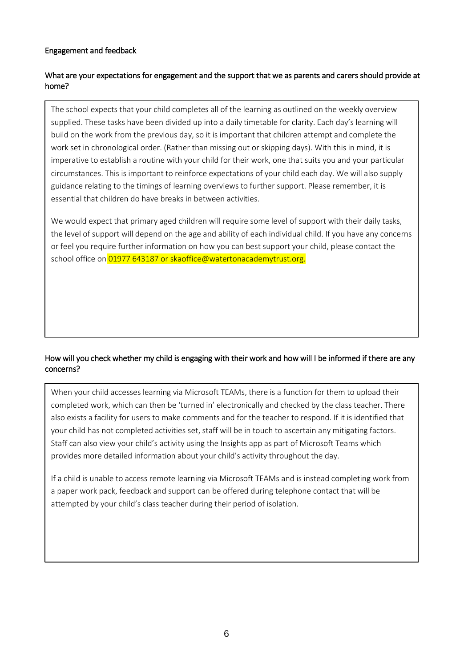## Engagement and feedback

# What are your expectations for engagement and the support that we as parents and carers should provide at home?

The school expects that your child completes all of the learning as outlined on the weekly overview supplied. These tasks have been divided up into a daily timetable for clarity. Each day's learning will build on the work from the previous day, so it is important that children attempt and complete the work set in chronological order. (Rather than missing out or skipping days). With this in mind, it is imperative to establish a routine with your child for their work, one that suits you and your particular circumstances. This is important to reinforce expectations of your child each day. We will also supply guidance relating to the timings of learning overviews to further support. Please remember, it is essential that children do have breaks in between activities.

We would expect that primary aged children will require some level of support with their daily tasks, the level of support will depend on the age and ability of each individual child. If you have any concerns or feel you require further information on how you can best support your child, please contact the school office on 01977 643187 or skaoffice@watertonacademytrust.org.

# How will you check whether my child is engaging with their work and how will I be informed if there are any concerns?

When your child accesses learning via Microsoft TEAMs, there is a function for them to upload their completed work, which can then be 'turned in' electronically and checked by the class teacher. There also exists a facility for users to make comments and for the teacher to respond. If it is identified that your child has not completed activities set, staff will be in touch to ascertain any mitigating factors. Staff can also view your child's activity using the Insights app as part of Microsoft Teams which provides more detailed information about your child's activity throughout the day.

If a child is unable to access remote learning via Microsoft TEAMs and is instead completing work from a paper work pack, feedback and support can be offered during telephone contact that will be attempted by your child's class teacher during their period of isolation.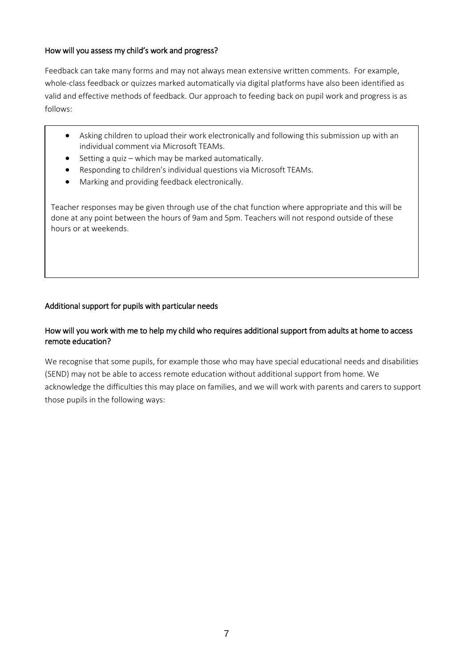## How will you assess my child's work and progress?

Feedback can take many forms and may not always mean extensive written comments. For example, whole-class feedback or quizzes marked automatically via digital platforms have also been identified as valid and effective methods of feedback. Our approach to feeding back on pupil work and progress is as follows:

- Asking children to upload their work electronically and following this submission up with an individual comment via Microsoft TEAMs.
- Setting a quiz which may be marked automatically.
- Responding to children's individual questions via Microsoft TEAMs.
- Marking and providing feedback electronically.

Teacher responses may be given through use of the chat function where appropriate and this will be done at any point between the hours of 9am and 5pm. Teachers will not respond outside of these hours or at weekends.

# Additional support for pupils with particular needs

# How will you work with me to help my child who requires additional support from adults at home to access remote education?

We recognise that some pupils, for example those who may have special educational needs and disabilities (SEND) may not be able to access remote education without additional support from home. We acknowledge the difficulties this may place on families, and we will work with parents and carers to support those pupils in the following ways: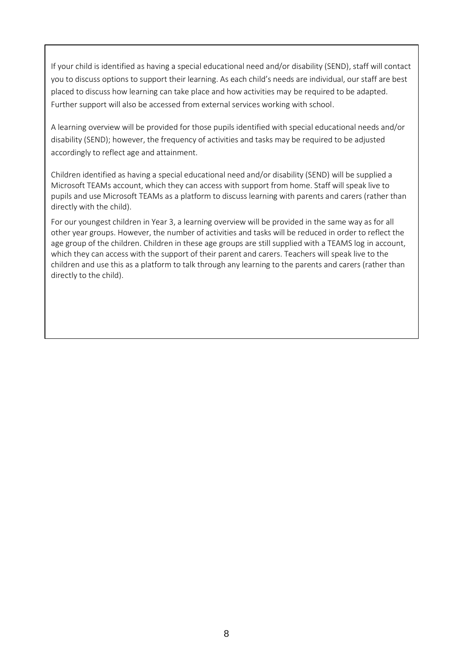If your child is identified as having a special educational need and/or disability (SEND), staff will contact you to discuss options to support their learning. As each child's needs are individual, our staff are best placed to discuss how learning can take place and how activities may be required to be adapted. Further support will also be accessed from external services working with school.

A learning overview will be provided for those pupils identified with special educational needs and/or disability (SEND); however, the frequency of activities and tasks may be required to be adjusted accordingly to reflect age and attainment.

Children identified as having a special educational need and/or disability (SEND) will be supplied a Microsoft TEAMs account, which they can access with support from home. Staff will speak live to pupils and use Microsoft TEAMs as a platform to discuss learning with parents and carers (rather than directly with the child).

For our youngest children in Year 3, a learning overview will be provided in the same way as for all other year groups. However, the number of activities and tasks will be reduced in order to reflect the age group of the children. Children in these age groups are still supplied with a TEAMS log in account, which they can access with the support of their parent and carers. Teachers will speak live to the children and use this as a platform to talk through any learning to the parents and carers (rather than directly to the child).